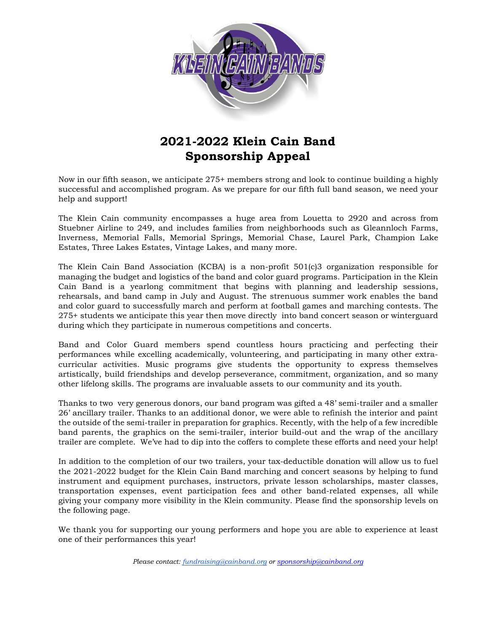

## **2021-2022 Klein Cain Band Sponsorship Appeal**

Now in our fifth season, we anticipate 275+ members strong and look to continue building a highly successful and accomplished program. As we prepare for our fifth full band season, we need your help and support!

The Klein Cain community encompasses a huge area from Louetta to 2920 and across from Stuebner Airline to 249, and includes families from neighborhoods such as Gleannloch Farms, Inverness, Memorial Falls, Memorial Springs, Memorial Chase, Laurel Park, Champion Lake Estates, Three Lakes Estates, Vintage Lakes, and many more.

The Klein Cain Band Association (KCBA) is a non-profit 501(c)3 organization responsible for managing the budget and logistics of the band and color guard programs. Participation in the Klein Cain Band is a yearlong commitment that begins with planning and leadership sessions, rehearsals, and band camp in July and August. The strenuous summer work enables the band and color guard to successfully march and perform at football games and marching contests. The 275+ students we anticipate this year then move directly into band concert season or winterguard during which they participate in numerous competitions and concerts.

Band and Color Guard members spend countless hours practicing and perfecting their performances while excelling academically, volunteering, and participating in many other extracurricular activities. Music programs give students the opportunity to express themselves artistically, build friendships and develop perseverance, commitment, organization, and so many other lifelong skills. The programs are invaluable assets to our community and its youth.

Thanks to two very generous donors, our band program was gifted a 48' semi-trailer and a smaller 26' ancillary trailer. Thanks to an additional donor, we were able to refinish the interior and paint the outside of the semi-trailer in preparation for graphics. Recently, with the help of a few incredible band parents, the graphics on the semi-trailer, interior build-out and the wrap of the ancillary trailer are complete. We've had to dip into the coffers to complete these efforts and need your help!

In addition to the completion of our two trailers, your tax-deductible donation will allow us to fuel the 2021-2022 budget for the Klein Cain Band marching and concert seasons by helping to fund instrument and equipment purchases, instructors, private lesson scholarships, master classes, transportation expenses, event participation fees and other band-related expenses, all while giving your company more visibility in the Klein community. Please find the sponsorship levels on the following page.

We thank you for supporting our young performers and hope you are able to experience at least one of their performances this year!

*Please contact: fundraising@cainband.org or sponsorship@cainband.org*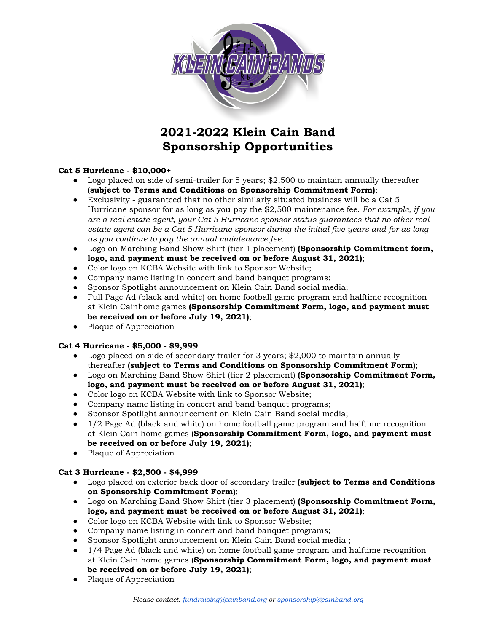

## **2021-2022 Klein Cain Band Sponsorship Opportunities**

### **Cat 5 Hurricane - \$10,000+**

- Logo placed on side of semi-trailer for 5 years; \$2,500 to maintain annually thereafter **(subject to Terms and Conditions on Sponsorship Commitment Form)**;
- Exclusivity guaranteed that no other similarly situated business will be a Cat 5 Hurricane sponsor for as long as you pay the \$2,500 maintenance fee. *For example, if you are a real estate agent, your Cat 5 Hurricane sponsor status guarantees that no other real estate agent can be a Cat 5 Hurricane sponsor during the initial five years and for as long as you continue to pay the annual maintenance fee.*
- Logo on Marching Band Show Shirt (tier 1 placement) **(Sponsorship Commitment form, logo, and payment must be received on or before August 31, 2021)**;
- Color logo on KCBA Website with link to Sponsor Website;
- Company name listing in concert and band banquet programs;
- Sponsor Spotlight announcement on Klein Cain Band social media;
- Full Page Ad (black and white) on home football game program and halftime recognition at Klein Cainhome games **(Sponsorship Commitment Form, logo, and payment must be received on or before July 19, 2021)**;
- Plaque of Appreciation

#### **Cat 4 Hurricane - \$5,000 - \$9,999**

- Logo placed on side of secondary trailer for 3 years; \$2,000 to maintain annually thereafter **(subject to Terms and Conditions on Sponsorship Commitment Form)**;
- Logo on Marching Band Show Shirt (tier 2 placement) **(Sponsorship Commitment Form, logo, and payment must be received on or before August 31, 2021)**;
- Color logo on KCBA Website with link to Sponsor Website;
- Company name listing in concert and band banquet programs;
- Sponsor Spotlight announcement on Klein Cain Band social media;
- 1/2 Page Ad (black and white) on home football game program and halftime recognition at Klein Cain home games (**Sponsorship Commitment Form, logo, and payment must be received on or before July 19, 2021)**;
- Plaque of Appreciation

#### **Cat 3 Hurricane - \$2,500 - \$4,999**

- Logo placed on exterior back door of secondary trailer **(subject to Terms and Conditions on Sponsorship Commitment Form)**;
- Logo on Marching Band Show Shirt (tier 3 placement) **(Sponsorship Commitment Form, logo, and payment must be received on or before August 31, 2021)**;
- Color logo on KCBA Website with link to Sponsor Website;
- Company name listing in concert and band banquet programs;
- Sponsor Spotlight announcement on Klein Cain Band social media ;
- 1/4 Page Ad (black and white) on home football game program and halftime recognition at Klein Cain home games (**Sponsorship Commitment Form, logo, and payment must be received on or before July 19, 2021)**;
- Plaque of Appreciation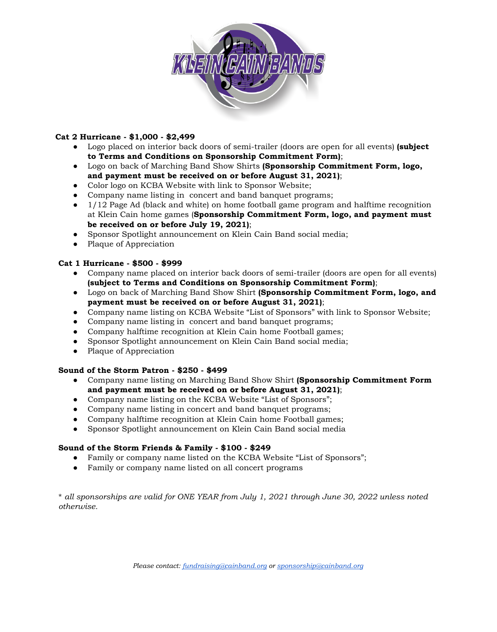

## **Cat 2 Hurricane - \$1,000 - \$2,499**

- Logo placed on interior back doors of semi-trailer (doors are open for all events) **(subject to Terms and Conditions on Sponsorship Commitment Form)**;
- Logo on back of Marching Band Show Shirts **(Sponsorship Commitment Form, logo, and payment must be received on or before August 31, 2021)**;
- Color logo on KCBA Website with link to Sponsor Website;
- Company name listing in concert and band banquet programs;
- 1/12 Page Ad (black and white) on home football game program and halftime recognition at Klein Cain home games (**Sponsorship Commitment Form, logo, and payment must be received on or before July 19, 2021)**;
- Sponsor Spotlight announcement on Klein Cain Band social media;
- Plaque of Appreciation

#### **Cat 1 Hurricane - \$500 - \$999**

- Company name placed on interior back doors of semi-trailer (doors are open for all events) **(subject to Terms and Conditions on Sponsorship Commitment Form)**;
- Logo on back of Marching Band Show Shirt **(Sponsorship Commitment Form, logo, and payment must be received on or before August 31, 2021)**;
- Company name listing on KCBA Website "List of Sponsors" with link to Sponsor Website;
- Company name listing in concert and band banquet programs;
- Company halftime recognition at Klein Cain home Football games;
- Sponsor Spotlight announcement on Klein Cain Band social media;
- Plaque of Appreciation

#### **Sound of the Storm Patron - \$250 - \$499**

- Company name listing on Marching Band Show Shirt **(Sponsorship Commitment Form and payment must be received on or before August 31, 2021)**;
- Company name listing on the KCBA Website "List of Sponsors";
- Company name listing in concert and band banquet programs;
- Company halftime recognition at Klein Cain home Football games;
- Sponsor Spotlight announcement on Klein Cain Band social media

#### **Sound of the Storm Friends & Family - \$100 - \$249**

- Family or company name listed on the KCBA Website "List of Sponsors";
- Family or company name listed on all concert programs

\* *all sponsorships are valid for ONE YEAR from July 1, 2021 through June 30, 2022 unless noted otherwise.*